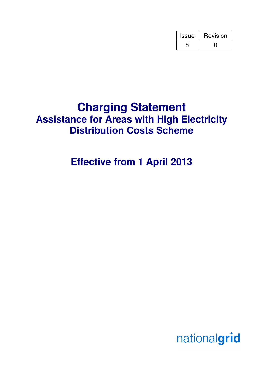| <b>Issue</b> | Revision |
|--------------|----------|
|              |          |

# **Charging Statement Assistance for Areas with High Electricity Distribution Costs Scheme**

# **Effective from 1 April 2013**

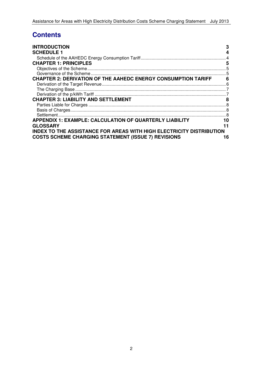# **Contents**

| <b>INTRODUCTION</b>                                                         | 3  |
|-----------------------------------------------------------------------------|----|
| <b>SCHEDULE 1</b>                                                           | 4  |
|                                                                             |    |
| <b>CHAPTER 1: PRINCIPLES</b>                                                | 5  |
|                                                                             |    |
|                                                                             |    |
| <b>CHAPTER 2: DERIVATION OF THE AAHEDC ENERGY CONSUMPTION TARIFF</b>        | 6  |
|                                                                             |    |
|                                                                             |    |
|                                                                             |    |
| <b>CHAPTER 3: LIABILITY AND SETTLEMENT</b>                                  | 8  |
|                                                                             |    |
|                                                                             |    |
|                                                                             |    |
| <b>APPENDIX 1: EXAMPLE: CALCULATION OF QUARTERLY LIABILITY</b>              | 10 |
| <b>GLOSSARY</b>                                                             |    |
| <b>INDEX TO THE ASSISTANCE FOR AREAS WITH HIGH ELECTRICITY DISTRIBUTION</b> |    |
| <b>COSTS SCHEME CHARGING STATEMENT (ISSUE 7) REVISIONS</b>                  | 16 |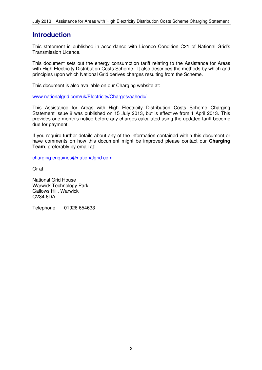### **Introduction**

This statement is published in accordance with Licence Condition C21 of National Grid's Transmission Licence.

This document sets out the energy consumption tariff relating to the Assistance for Areas with High Electricity Distribution Costs Scheme. It also describes the methods by which and principles upon which National Grid derives charges resulting from the Scheme.

This document is also available on our Charging website at:

www.nationalgrid.com/uk/Electricity/Charges/aahedc/

This Assistance for Areas with High Electricity Distribution Costs Scheme Charging Statement Issue 8 was published on 15 July 2013, but is effective from 1 April 2013. This provides one month's notice before any charges calculated using the updated tariff become due for payment.

If you require further details about any of the information contained within this document or have comments on how this document might be improved please contact our **Charging Team**, preferably by email at:

charging.enquiries@nationalgrid.com

Or at:

National Grid House Warwick Technology Park Gallows Hill, Warwick CV34 6DA

Telephone 01926 654633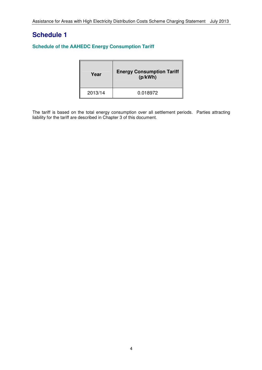## **Schedule 1**

#### **Schedule of the AAHEDC Energy Consumption Tariff**

| Year    | <b>Energy Consumption Tariff</b><br>(p/kWh) |
|---------|---------------------------------------------|
| 2013/14 | 0.018972                                    |

The tariff is based on the total energy consumption over all settlement periods. Parties attracting liability for the tariff are described in Chapter 3 of this document.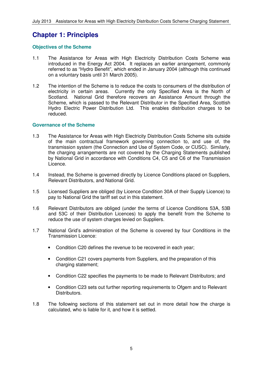## **Chapter 1: Principles**

#### **Objectives of the Scheme**

- 1.1 The Assistance for Areas with High Electricity Distribution Costs Scheme was introduced in the Energy Act 2004. It replaces an earlier arrangement, commonly referred to as "Hydro Benefit", which ended in January 2004 (although this continued on a voluntary basis until 31 March 2005).
- 1.2 The intention of the Scheme is to reduce the costs to consumers of the distribution of electricity in certain areas. Currently the only Specified Area is the North of Scotland. National Grid therefore recovers an Assistance Amount through the Scheme, which is passed to the Relevant Distributor in the Specified Area, Scottish Hydro Electric Power Distribution Ltd. This enables distribution charges to be reduced.

#### **Governance of the Scheme**

- 1.3 The Assistance for Areas with High Electricity Distribution Costs Scheme sits outside of the main contractual framework governing connection to, and use of, the transmission system (the Connection and Use of System Code, or CUSC). Similarly, the charging arrangements are not covered by the Charging Statements published by National Grid in accordance with Conditions C4, C5 and C6 of the Transmission Licence.
- 1.4 Instead, the Scheme is governed directly by Licence Conditions placed on Suppliers, Relevant Distributors, and National Grid.
- 1.5 Licensed Suppliers are obliged (by Licence Condition 30A of their Supply Licence) to pay to National Grid the tariff set out in this statement.
- 1.6 Relevant Distributors are obliged (under the terms of Licence Conditions 53A, 53B and 53C of their Distribution Licences) to apply the benefit from the Scheme to reduce the use of system charges levied on Suppliers.
- 1.7 National Grid's administration of the Scheme is covered by four Conditions in the Transmission Licence:
	- Condition C20 defines the revenue to be recovered in each year;
	- Condition C21 covers payments from Suppliers, and the preparation of this charging statement;
	- Condition C22 specifies the payments to be made to Relevant Distributors; and
	- Condition C23 sets out further reporting requirements to Ofgem and to Relevant Distributors.
- 1.8 The following sections of this statement set out in more detail how the charge is calculated, who is liable for it, and how it is settled.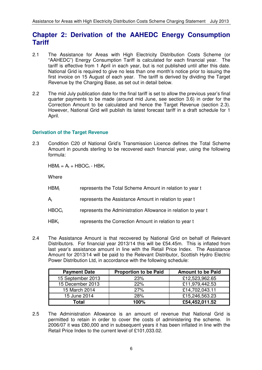### **Chapter 2: Derivation of the AAHEDC Energy Consumption Tariff**

- 2.1 The Assistance for Areas with High Electricity Distribution Costs Scheme (or "AAHEDC") Energy Consumption Tariff is calculated for each financial year. The tariff is effective from 1 April in each year, but is not published until after this date. National Grid is required to give no less than one month's notice prior to issuing the first invoice on 15 August of each year. The tariff is derived by dividing the Target Revenue by the Charging Base, as set out in detail below.
- 2.2 The mid July publication date for the final tariff is set to allow the previous year's final quarter payments to be made (around mid June, see section 3.6) in order for the Correction Amount to be calculated and hence the Target Revenue (section 2.3). However, National Grid will publish its latest forecast tariff in a draft schedule for 1 April.

#### **Derivation of the Target Revenue**

2.3 Condition C20 of National Grid's Transmission Licence defines the Total Scheme Amount in pounds sterling to be recovered each financial year, using the following formula:

 $HBM_t = A_t + HBOC_t - HBK_t$ 

**Where** 

- $HBM_t$ represents the Total Scheme Amount in relation to year t
- $A_{t}$ represents the Assistance Amount in relation to year t
- $HBOC<sub>t</sub>$ represents the Administration Allowance in relation to year t
- $HBK_t$ represents the Correction Amount in relation to year t
- 2.4 The Assistance Amount is that recovered by National Grid on behalf of Relevant Distributors. For financial year 2013/14 this will be £54.45m. This is inflated from last year's assistance amount in line with the Retail Price Index. The Assistance Amount for 2013/14 will be paid to the Relevant Distributor, Scottish Hydro Electric Power Distribution Ltd, in accordance with the following schedule:

| <b>Payment Date</b> | <b>Proportion to be Paid</b> | <b>Amount to be Paid</b> |
|---------------------|------------------------------|--------------------------|
| 15 September 2013   | 23%                          | £12,523,962.65           |
| 15 December 2013    | 22%                          | £11,979,442.53           |
| 15 March 2014       | 27%                          | £14,702,043.11           |
| 15 June 2014        | 28%                          | £15,246,563.23           |
| Total               | 100%                         | £54,452,011.52           |

2.5 The Administration Allowance is an amount of revenue that National Grid is permitted to retain in order to cover the costs of administering the scheme. In 2006/07 it was £80,000 and in subsequent years it has been inflated in line with the Retail Price Index to the current level of £101,033.02.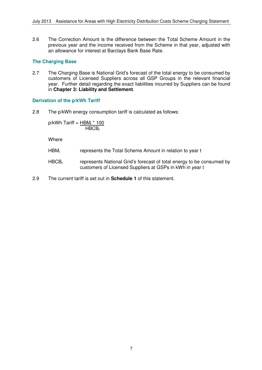2.6 The Correction Amount is the difference between the Total Scheme Amount in the previous year and the income received from the Scheme in that year, adjusted with an allowance for interest at Barclays Bank Base Rate.

#### **The Charging Base**

2.7 The Charging Base is National Grid's forecast of the total energy to be consumed by customers of Licensed Suppliers across all GSP Groups in the relevant financial year. Further detail regarding the exact liabilities incurred by Suppliers can be found in **Chapter 3: Liability and Settlement**.

#### **Derivation of the p/kWh Tariff**

2.8 The p/kWh energy consumption tariff is calculated as follows:

p/kWh Tariff = <u>HBM<sub>t</sub> \* 100</u>  $HBCB<sub>t</sub>$ 

**Where** 

- HBM<sub>t</sub> represents the Total Scheme Amount in relation to year t
- $HBCB<sub>t</sub>$  represents National Grid's forecast of total energy to be consumed by customers of Licensed Suppliers at GSPs in kWh in year t
- 2.9 The current tariff is set out in **Schedule 1** of this statement.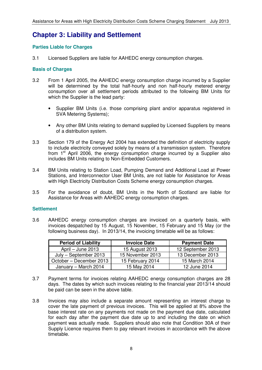### **Chapter 3: Liability and Settlement**

#### **Parties Liable for Charges**

3.1 Licensed Suppliers are liable for AAHEDC energy consumption charges.

#### **Basis of Charges**

- 3.2 From 1 April 2005, the AAHEDC energy consumption charge incurred by a Supplier will be determined by the total half-hourly and non half-hourly metered energy consumption over all settlement periods attributed to the following BM Units for which the Supplier is the lead party:
	- Supplier BM Units (i.e. those comprising plant and/or apparatus registered in SVA Metering Systems);
	- Any other BM Units relating to demand supplied by Licensed Suppliers by means of a distribution system.
- 3.3 Section 179 of the Energy Act 2004 has extended the definition of electricity supply to include electricity conveyed solely by means of a transmission system. Therefore from  $1<sup>st</sup>$  April 2006, the energy consumption charge incurred by a Supplier also includes BM Units relating to Non-Embedded Customers.
- 3.4 BM Units relating to Station Load, Pumping Demand and Additional Load at Power Stations, and Interconnector User BM Units, are not liable for Assistance for Areas with High Electricity Distribution Costs Scheme energy consumption charges.
- 3.5 For the avoidance of doubt, BM Units in the North of Scotland are liable for Assistance for Areas with AAHEDC energy consumption charges.

#### **Settlement**

3.6 AAHEDC energy consumption charges are invoiced on a quarterly basis, with invoices despatched by 15 August, 15 November, 15 February and 15 May (or the following business day). In 2013/14, the invoicing timetable will be as follows:

| <b>Period of Liability</b> | <b>Invoice Date</b> | <b>Payment Date</b> |
|----------------------------|---------------------|---------------------|
| April – June 2013          | 15 August 2013      | 12 September 2013   |
| July - September 2013      | 15 November 2013    | 13 December 2013    |
| October - December 2013    | 15 February 2014    | 15 March 2014       |
| January - March 2014       | 15 May 2014         | 12 June 2014        |

- 3.7 Payment terms for invoices relating AAHEDC energy consumption charges are 28 days. The dates by which such invoices relating to the financial year 2013/14 should be paid can be seen in the above table.
- 3.8 Invoices may also include a separate amount representing an interest charge to cover the late payment of previous invoices. This will be applied at 8% above the base interest rate on any payments not made on the payment due date, calculated for each day after the payment due date up to and including the date on which payment was actually made. Suppliers should also note that Condition 30A of their Supply Licence requires them to pay relevant invoices in accordance with the above timetable.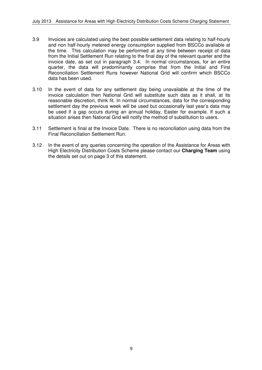- 3.9 Invoices are calculated using the best possible settlement data relating to half-hourly and non half-hourly metered energy consumption supplied from BSCCo available at the time. This calculation may be performed at any time between receipt of data from the Initial Settlement Run relating to the final day of the relevant quarter and the invoice date, as set out in paragraph 3.4. In normal circumstances, for an entire quarter, the data will predominantly comprise that from the Initial and First Reconciliation Settlement Runs however National Grid will confirm which BSCCo data has been used.
- 3.10 In the event of data for any settlement day being unavailable at the time of the invoice calculation then National Grid will substitute such data as it shall, at its reasonable discretion, think fit. In normal circumstances, data for the corresponding settlement day the previous week will be used but occasionally last year's data may be used if a gap occurs during an annual holiday, Easter for example. If such a situation arises then National Grid will notify the method of substitution to users.
- 3.11 Settlement is final at the Invoice Date. There is no reconciliation using data from the Final Reconciliation Settlement Run.
- 3.12 In the event of any queries concerning the operation of the Assistance for Areas with High Electricity Distribution Costs Scheme please contact our **Charging Team** using the details set out on page 3 of this statement.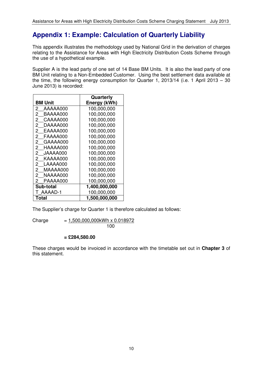# **Appendix 1: Example: Calculation of Quarterly Liability**

This appendix illustrates the methodology used by National Grid in the derivation of charges relating to the Assistance for Areas with High Electricity Distribution Costs Scheme through the use of a hypothetical example.

Supplier A is the lead party of one set of 14 Base BM Units. It is also the lead party of one BM Unit relating to a Non-Embedded Customer. Using the best settlement data available at the time, the following energy consumption for Quarter 1, 2013/14 (i.e. 1 April 2013 – 30 June 2013) is recorded:

|                            | Quarterly     |
|----------------------------|---------------|
| <b>BM Unit</b>             | Energy (kWh)  |
| 2<br>AAAAA000              | 100,000,000   |
| 2<br>BAAAA000              | 100,000,000   |
| $\overline{2}$<br>CAAAA000 | 100,000,000   |
| 2<br>DAAAA000              | 100,000,000   |
| $\overline{2}$<br>EAAAA000 | 100,000,000   |
| $\overline{2}$<br>FAAAA000 | 100,000,000   |
| $\overline{2}$<br>GAAAA000 | 100,000,000   |
| $\overline{2}$<br>HAAAA000 | 100,000,000   |
| $\overline{2}$<br>JAAAA000 | 100,000,000   |
| $\overline{2}$<br>KAAAA000 | 100,000,000   |
| $2^{\circ}$<br>LAAAA000    | 100,000,000   |
| $^{2}$<br>MAAAA000         | 100,000,000   |
| $\mathbf{2}^-$<br>NAAAA000 | 100,000,000   |
| 2<br>PAAAA000              | 100,000,000   |
| Sub-total                  | 1,400,000,000 |
| AAAAD-1                    | 100,000,000   |
| Total                      | 1,500,000,000 |

The Supplier's charge for Quarter 1 is therefore calculated as follows:

 $Change = 1.500,000,000kWh \times 0.018972$ 100 and 100

**= £284,580.00** 

These charges would be invoiced in accordance with the timetable set out in **Chapter 3** of this statement.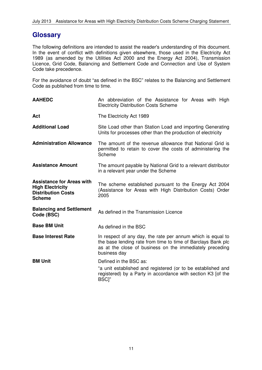### **Glossary**

The following definitions are intended to assist the reader's understanding of this document. In the event of conflict with definitions given elsewhere, those used in the Electricity Act 1989 (as amended by the Utilities Act 2000 and the Energy Act 2004), Transmission Licence, Grid Code, Balancing and Settlement Code and Connection and Use of System Code take precedence.

For the avoidance of doubt "as defined in the BSC" relates to the Balancing and Settlement Code as published from time to time.

| <b>AAHEDC</b>                                                                                             | An abbreviation of the Assistance for Areas with High<br><b>Electricity Distribution Costs Scheme</b>                                                                                                   |  |  |
|-----------------------------------------------------------------------------------------------------------|---------------------------------------------------------------------------------------------------------------------------------------------------------------------------------------------------------|--|--|
| Act                                                                                                       | The Electricity Act 1989                                                                                                                                                                                |  |  |
| <b>Additional Load</b>                                                                                    | Site Load other than Station Load and importing Generating<br>Units for processes other than the production of electricity                                                                              |  |  |
| <b>Administration Allowance</b>                                                                           | The amount of the revenue allowance that National Grid is<br>permitted to retain to cover the costs of administering the<br>Scheme                                                                      |  |  |
| <b>Assistance Amount</b>                                                                                  | The amount payable by National Grid to a relevant distributor<br>in a relevant year under the Scheme                                                                                                    |  |  |
| <b>Assistance for Areas with</b><br><b>High Electricity</b><br><b>Distribution Costs</b><br><b>Scheme</b> | The scheme established pursuant to the Energy Act 2004<br>(Assistance for Areas with High Distribution Costs) Order<br>2005                                                                             |  |  |
| <b>Balancing and Settlement</b><br>Code (BSC)                                                             | As defined in the Transmission Licence                                                                                                                                                                  |  |  |
| <b>Base BM Unit</b>                                                                                       | As defined in the BSC                                                                                                                                                                                   |  |  |
| <b>Base Interest Rate</b>                                                                                 | In respect of any day, the rate per annum which is equal to<br>the base lending rate from time to time of Barclays Bank plc<br>as at the close of business on the immediately preceding<br>business day |  |  |
| <b>BM Unit</b>                                                                                            | Defined in the BSC as:                                                                                                                                                                                  |  |  |
|                                                                                                           | "a unit established and registered (or to be established and<br>registered) by a Party in accordance with section K3 [of the<br>BSC]"                                                                   |  |  |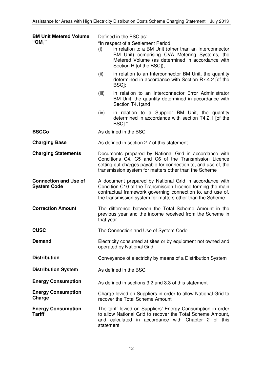| <b>BM Unit Metered Volume</b>                      | Defined in the BSC as:                                                                                                                                                                                                                           |                                                                                                                                                                                                                                |  |
|----------------------------------------------------|--------------------------------------------------------------------------------------------------------------------------------------------------------------------------------------------------------------------------------------------------|--------------------------------------------------------------------------------------------------------------------------------------------------------------------------------------------------------------------------------|--|
| "QM <sub>ii</sub> "                                | (i)                                                                                                                                                                                                                                              | "In respect of a Settlement Period:<br>in relation to a BM Unit (other than an Interconnector<br>BM Unit) comprising CVA Metering Systems, the<br>Metered Volume (as determined in accordance with<br>Section R [of the BSC]); |  |
|                                                    | (ii)                                                                                                                                                                                                                                             | in relation to an Interconnector BM Unit, the quantity<br>determined in accordance with Section R7.4.2 [of the<br>BSC <sub>I</sub> ;                                                                                           |  |
|                                                    | (iii)                                                                                                                                                                                                                                            | in relation to an Interconnector Error Administrator<br>BM Unit, the quantity determined in accordance with<br>Section T4.1; and                                                                                               |  |
|                                                    | (iv)                                                                                                                                                                                                                                             | in relation to a Supplier BM Unit, the quantity<br>determined in accordance with section T4.2.1 [of the<br>BSCI."                                                                                                              |  |
| <b>BSCCo</b>                                       |                                                                                                                                                                                                                                                  | As defined in the BSC                                                                                                                                                                                                          |  |
| <b>Charging Base</b>                               |                                                                                                                                                                                                                                                  | As defined in section 2.7 of this statement                                                                                                                                                                                    |  |
| <b>Charging Statements</b>                         | Documents prepared by National Grid in accordance with<br>Conditions C4, C5 and C6 of the Transmission Licence<br>setting out charges payable for connection to, and use of, the<br>transmission system for matters other than the Scheme        |                                                                                                                                                                                                                                |  |
| <b>Connection and Use of</b><br><b>System Code</b> | A document prepared by National Grid in accordance with<br>Condition C10 of the Transmission Licence forming the main<br>contractual framework governing connection to, and use of,<br>the transmission system for matters other than the Scheme |                                                                                                                                                                                                                                |  |
| <b>Correction Amount</b>                           | The difference between the Total Scheme Amount in the<br>previous year and the income received from the Scheme in<br>that year                                                                                                                   |                                                                                                                                                                                                                                |  |
| <b>CUSC</b>                                        | The Connection and Use of System Code                                                                                                                                                                                                            |                                                                                                                                                                                                                                |  |
| <b>Demand</b>                                      | Electricity consumed at sites or by equipment not owned and<br>operated by National Grid                                                                                                                                                         |                                                                                                                                                                                                                                |  |
| <b>Distribution</b>                                | Conveyance of electricity by means of a Distribution System                                                                                                                                                                                      |                                                                                                                                                                                                                                |  |
| <b>Distribution System</b>                         | As defined in the BSC                                                                                                                                                                                                                            |                                                                                                                                                                                                                                |  |
| <b>Energy Consumption</b>                          | As defined in sections 3.2 and 3.3 of this statement                                                                                                                                                                                             |                                                                                                                                                                                                                                |  |
| <b>Energy Consumption</b><br>Charge                | Charge levied on Suppliers in order to allow National Grid to<br>recover the Total Scheme Amount                                                                                                                                                 |                                                                                                                                                                                                                                |  |
| <b>Energy Consumption</b><br><b>Tariff</b>         | statement                                                                                                                                                                                                                                        | The tariff levied on Suppliers' Energy Consumption in order<br>to allow National Grid to recover the Total Scheme Amount,<br>and calculated in accordance with Chapter 2 of this                                               |  |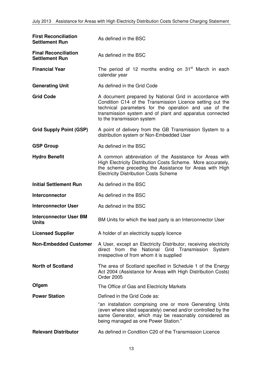| <b>First Reconciliation</b><br><b>Settlement Run</b> | As defined in the BSC                                                                                                                                                                                                                                                   |  |
|------------------------------------------------------|-------------------------------------------------------------------------------------------------------------------------------------------------------------------------------------------------------------------------------------------------------------------------|--|
| <b>Final Reconciliation</b><br><b>Settlement Run</b> | As defined in the BSC                                                                                                                                                                                                                                                   |  |
| <b>Financial Year</b>                                | The period of 12 months ending on 31 <sup>st</sup> March in each<br>calendar year                                                                                                                                                                                       |  |
| <b>Generating Unit</b>                               | As defined in the Grid Code                                                                                                                                                                                                                                             |  |
| <b>Grid Code</b>                                     | A document prepared by National Grid in accordance with<br>Condition C14 of the Transmission Licence setting out the<br>technical parameters for the operation and use of the<br>transmission system and of plant and apparatus connected<br>to the transmission system |  |
| <b>Grid Supply Point (GSP)</b>                       | A point of delivery from the GB Transmission System to a<br>distribution system or Non-Embedded User                                                                                                                                                                    |  |
| <b>GSP Group</b>                                     | As defined in the BSC                                                                                                                                                                                                                                                   |  |
| <b>Hydro Benefit</b>                                 | A common abbreviation of the Assistance for Areas with<br>High Electricity Distribution Costs Scheme. More accurately,<br>the scheme preceding the Assistance for Areas with High<br><b>Electricity Distribution Costs Scheme</b>                                       |  |
| <b>Initial Settlement Run</b>                        | As defined in the BSC                                                                                                                                                                                                                                                   |  |
| Interconnector                                       | As defined in the BSC                                                                                                                                                                                                                                                   |  |
| <b>Interconnector User</b>                           | As defined in the BSC                                                                                                                                                                                                                                                   |  |
| <b>Interconnector User BM</b><br><b>Units</b>        | BM Units for which the lead party is an Interconnector User                                                                                                                                                                                                             |  |
| <b>Licensed Supplier</b>                             | A holder of an electricity supply licence                                                                                                                                                                                                                               |  |
| <b>Non-Embedded Customer</b>                         | A User, except an Electricity Distributor, receiving electricity<br>direct from the National Grid Transmission<br>System<br>irrespective of from whom it is supplied                                                                                                    |  |
| <b>North of Scotland</b>                             | The area of Scotland specified in Schedule 1 of the Energy<br>Act 2004 (Assistance for Areas with High Distribution Costs)<br><b>Order 2005</b>                                                                                                                         |  |
| Ofgem                                                | The Office of Gas and Electricity Markets                                                                                                                                                                                                                               |  |
| <b>Power Station</b>                                 | Defined in the Grid Code as:                                                                                                                                                                                                                                            |  |
|                                                      | "an installation comprising one or more Generating Units<br>(even where sited separately) owned and/or controlled by the<br>same Generator, which may be reasonably considered as<br>being managed as one Power Station."                                               |  |
| <b>Relevant Distributor</b>                          | As defined in Condition C20 of the Transmission Licence                                                                                                                                                                                                                 |  |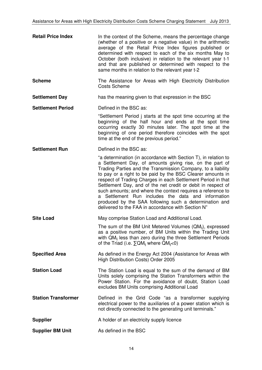| <b>Retail Price Index</b>  | In the context of the Scheme, means the percentage change<br>(whether of a positive or a negative value) in the arithmetic<br>average of the Retail Price Index figures published or<br>determined with respect to each of the six months May to<br>October (both inclusive) in relation to the relevant year t-1<br>and that are published or determined with respect to the<br>same months in relation to the relevant year t-2                                                                                                                                                                                              |  |
|----------------------------|--------------------------------------------------------------------------------------------------------------------------------------------------------------------------------------------------------------------------------------------------------------------------------------------------------------------------------------------------------------------------------------------------------------------------------------------------------------------------------------------------------------------------------------------------------------------------------------------------------------------------------|--|
| <b>Scheme</b>              | The Assistance for Areas with High Electricity Distribution<br><b>Costs Scheme</b>                                                                                                                                                                                                                                                                                                                                                                                                                                                                                                                                             |  |
| <b>Settlement Day</b>      | has the meaning given to that expression in the BSC                                                                                                                                                                                                                                                                                                                                                                                                                                                                                                                                                                            |  |
| <b>Settlement Period</b>   | Defined in the BSC as:                                                                                                                                                                                                                                                                                                                                                                                                                                                                                                                                                                                                         |  |
|                            | "Settlement Period j starts at the spot time occurring at the<br>beginning of the half hour and ends at the spot time<br>occurring exactly 30 minutes later. The spot time at the<br>beginning of one period therefore coincides with the spot<br>time at the end of the previous period."                                                                                                                                                                                                                                                                                                                                     |  |
| <b>Settlement Run</b>      | Defined in the BSC as:                                                                                                                                                                                                                                                                                                                                                                                                                                                                                                                                                                                                         |  |
|                            | "a determination (in accordance with Section T), in relation to<br>a Settlement Day, of amounts giving rise, on the part of<br>Trading Parties and the Transmission Company, to a liability<br>to pay or a right to be paid by the BSC Clearer amounts in<br>respect of Trading Charges in each Settlement Period in that<br>Settlement Day, and of the net credit or debit in respect of<br>such amounts; and where the context requires a reference to<br>a Settlement Run includes the data and information<br>produced by the SAA following such a determination and<br>delivered to the FAA in accordance with Section N" |  |
| <b>Site Load</b>           | May comprise Station Load and Additional Load.                                                                                                                                                                                                                                                                                                                                                                                                                                                                                                                                                                                 |  |
|                            | The sum of the BM Unit Metered Volumes (QM <sub>ii</sub> ), expressed<br>as a positive number, of BM Units within the Trading Unit<br>with $QM_{ii}$ less than zero during the three Settlement Periods<br>of the Triad (i.e. $\Sigma QM_{ii}$ where $QM_{ii} < 0$ )                                                                                                                                                                                                                                                                                                                                                           |  |
| <b>Specified Area</b>      | As defined in the Energy Act 2004 (Assistance for Areas with<br>High Distribution Costs) Order 2005                                                                                                                                                                                                                                                                                                                                                                                                                                                                                                                            |  |
| <b>Station Load</b>        | The Station Load is equal to the sum of the demand of BM<br>Units solely comprising the Station Transformers within the<br>Power Station. For the avoidance of doubt, Station Load<br>excludes BM Units comprising Additional Load                                                                                                                                                                                                                                                                                                                                                                                             |  |
| <b>Station Transformer</b> | Defined in the Grid Code "as a transformer supplying<br>electrical power to the auxiliaries of a power station which is<br>not directly connected to the generating unit terminals."                                                                                                                                                                                                                                                                                                                                                                                                                                           |  |
| <b>Supplier</b>            | A holder of an electricity supply licence                                                                                                                                                                                                                                                                                                                                                                                                                                                                                                                                                                                      |  |
| <b>Supplier BM Unit</b>    | As defined in the BSC                                                                                                                                                                                                                                                                                                                                                                                                                                                                                                                                                                                                          |  |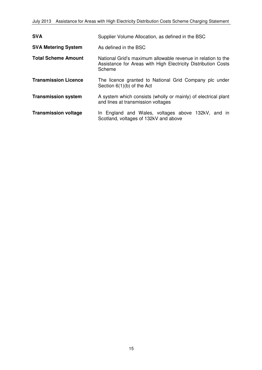| <b>SVA</b>                  | Supplier Volume Allocation, as defined in the BSC                                                                                       |  |  |
|-----------------------------|-----------------------------------------------------------------------------------------------------------------------------------------|--|--|
| <b>SVA Metering System</b>  | As defined in the BSC                                                                                                                   |  |  |
| <b>Total Scheme Amount</b>  | National Grid's maximum allowable revenue in relation to the<br>Assistance for Areas with High Electricity Distribution Costs<br>Scheme |  |  |
| <b>Transmission Licence</b> | The licence granted to National Grid Company plc under<br>Section $6(1)(b)$ of the Act                                                  |  |  |
| <b>Transmission system</b>  | A system which consists (wholly or mainly) of electrical plant<br>and lines at transmission voltages                                    |  |  |
| <b>Transmission voltage</b> | In England and Wales, voltages above 132kV, and in<br>Scotland, voltages of 132kV and above                                             |  |  |